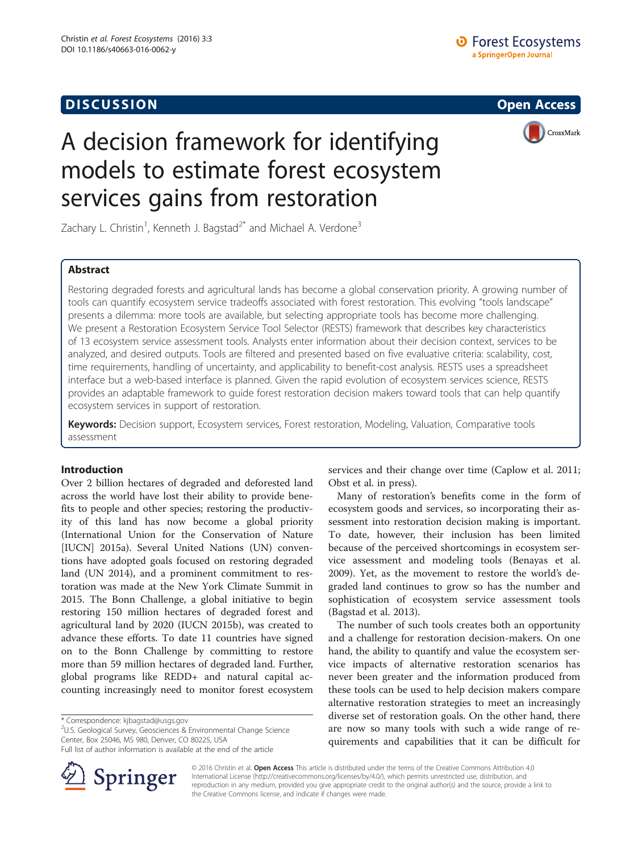# DI SCU S SION Open Access



# A decision framework for identifying models to estimate forest ecosystem services gains from restoration

Zachary L. Christin<sup>1</sup>, Kenneth J. Bagstad<sup>2\*</sup> and Michael A. Verdone<sup>3</sup>

# Abstract

Restoring degraded forests and agricultural lands has become a global conservation priority. A growing number of tools can quantify ecosystem service tradeoffs associated with forest restoration. This evolving "tools landscape" presents a dilemma: more tools are available, but selecting appropriate tools has become more challenging. We present a Restoration Ecosystem Service Tool Selector (RESTS) framework that describes key characteristics of 13 ecosystem service assessment tools. Analysts enter information about their decision context, services to be analyzed, and desired outputs. Tools are filtered and presented based on five evaluative criteria: scalability, cost, time requirements, handling of uncertainty, and applicability to benefit-cost analysis. RESTS uses a spreadsheet interface but a web-based interface is planned. Given the rapid evolution of ecosystem services science, RESTS provides an adaptable framework to guide forest restoration decision makers toward tools that can help quantify ecosystem services in support of restoration.

Keywords: Decision support, Ecosystem services, Forest restoration, Modeling, Valuation, Comparative tools assessment

# Introduction

Over 2 billion hectares of degraded and deforested land across the world have lost their ability to provide benefits to people and other species; restoring the productivity of this land has now become a global priority (International Union for the Conservation of Nature [IUCN] [2015a\)](#page-10-0). Several United Nations (UN) conventions have adopted goals focused on restoring degraded land (UN [2014](#page-11-0)), and a prominent commitment to restoration was made at the New York Climate Summit in 2015. The Bonn Challenge, a global initiative to begin restoring 150 million hectares of degraded forest and agricultural land by 2020 (IUCN [2015b](#page-10-0)), was created to advance these efforts. To date 11 countries have signed on to the Bonn Challenge by committing to restore more than 59 million hectares of degraded land. Further, global programs like REDD+ and natural capital accounting increasingly need to monitor forest ecosystem

U.S. Geological Survey, Geosciences & Environmental Change Science Center, Box 25046, MS 980, Denver, CO 80225, USA



Many of restoration's benefits come in the form of ecosystem goods and services, so incorporating their assessment into restoration decision making is important. To date, however, their inclusion has been limited because of the perceived shortcomings in ecosystem service assessment and modeling tools (Benayas et al. [2009](#page-10-0)). Yet, as the movement to restore the world's degraded land continues to grow so has the number and sophistication of ecosystem service assessment tools (Bagstad et al. [2013\)](#page-10-0).

The number of such tools creates both an opportunity and a challenge for restoration decision-makers. On one hand, the ability to quantify and value the ecosystem service impacts of alternative restoration scenarios has never been greater and the information produced from these tools can be used to help decision makers compare alternative restoration strategies to meet an increasingly diverse set of restoration goals. On the other hand, there are now so many tools with such a wide range of requirements and capabilities that it can be difficult for



© 2016 Christin et al. Open Access This article is distributed under the terms of the Creative Commons Attribution 4.0 International License ([http://creativecommons.org/licenses/by/4.0/\)](http://creativecommons.org/licenses/by/4.0/), which permits unrestricted use, distribution, and reproduction in any medium, provided you give appropriate credit to the original author(s) and the source, provide a link to the Creative Commons license, and indicate if changes were made.

<sup>\*</sup> Correspondence: [kjbagstad@usgs.gov](mailto:kjbagstad@usgs.gov) <sup>2</sup>

Full list of author information is available at the end of the article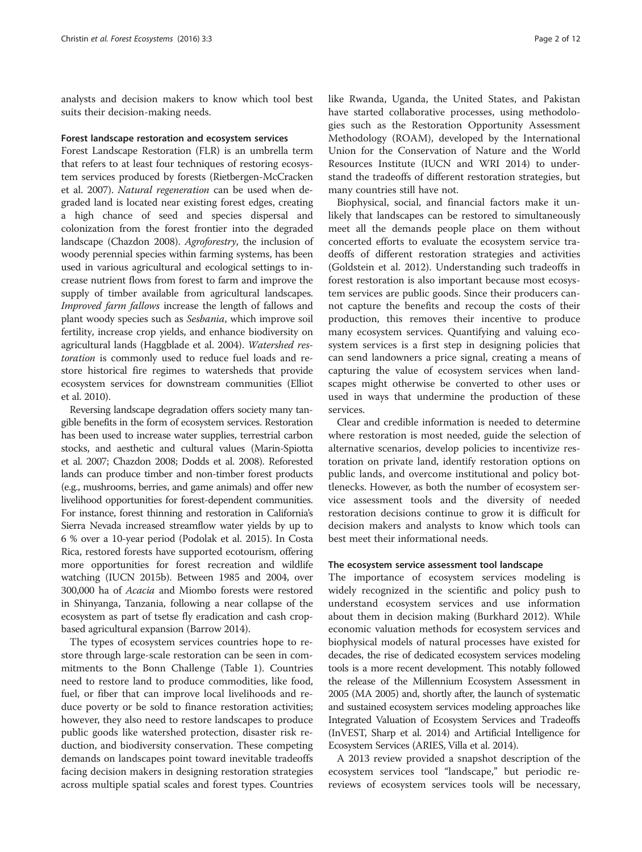analysts and decision makers to know which tool best suits their decision-making needs.

#### Forest landscape restoration and ecosystem services

Forest Landscape Restoration (FLR) is an umbrella term that refers to at least four techniques of restoring ecosystem services produced by forests (Rietbergen-McCracken et al. [2007](#page-11-0)). Natural regeneration can be used when degraded land is located near existing forest edges, creating a high chance of seed and species dispersal and colonization from the forest frontier into the degraded landscape (Chazdon [2008](#page-10-0)). Agroforestry, the inclusion of woody perennial species within farming systems, has been used in various agricultural and ecological settings to increase nutrient flows from forest to farm and improve the supply of timber available from agricultural landscapes. Improved farm fallows increase the length of fallows and plant woody species such as Sesbania, which improve soil fertility, increase crop yields, and enhance biodiversity on agricultural lands (Haggblade et al. [2004](#page-10-0)). Watershed restoration is commonly used to reduce fuel loads and restore historical fire regimes to watersheds that provide ecosystem services for downstream communities (Elliot et al. [2010](#page-10-0)).

Reversing landscape degradation offers society many tangible benefits in the form of ecosystem services. Restoration has been used to increase water supplies, terrestrial carbon stocks, and aesthetic and cultural values (Marin-Spiotta et al. [2007](#page-11-0); Chazdon [2008;](#page-10-0) Dodds et al. [2008](#page-10-0)). Reforested lands can produce timber and non-timber forest products (e.g., mushrooms, berries, and game animals) and offer new livelihood opportunities for forest-dependent communities. For instance, forest thinning and restoration in California's Sierra Nevada increased streamflow water yields by up to 6 % over a 10-year period (Podolak et al. [2015](#page-11-0)). In Costa Rica, restored forests have supported ecotourism, offering more opportunities for forest recreation and wildlife watching (IUCN [2015b](#page-10-0)). Between 1985 and 2004, over 300,000 ha of Acacia and Miombo forests were restored in Shinyanga, Tanzania, following a near collapse of the ecosystem as part of tsetse fly eradication and cash cropbased agricultural expansion (Barrow [2014](#page-10-0)).

The types of ecosystem services countries hope to restore through large-scale restoration can be seen in commitments to the Bonn Challenge (Table [1](#page-2-0)). Countries need to restore land to produce commodities, like food, fuel, or fiber that can improve local livelihoods and reduce poverty or be sold to finance restoration activities; however, they also need to restore landscapes to produce public goods like watershed protection, disaster risk reduction, and biodiversity conservation. These competing demands on landscapes point toward inevitable tradeoffs facing decision makers in designing restoration strategies across multiple spatial scales and forest types. Countries like Rwanda, Uganda, the United States, and Pakistan have started collaborative processes, using methodologies such as the Restoration Opportunity Assessment Methodology (ROAM), developed by the International Union for the Conservation of Nature and the World Resources Institute (IUCN and WRI [2014\)](#page-10-0) to understand the tradeoffs of different restoration strategies, but many countries still have not.

Biophysical, social, and financial factors make it unlikely that landscapes can be restored to simultaneously meet all the demands people place on them without concerted efforts to evaluate the ecosystem service tradeoffs of different restoration strategies and activities (Goldstein et al. [2012](#page-10-0)). Understanding such tradeoffs in forest restoration is also important because most ecosystem services are public goods. Since their producers cannot capture the benefits and recoup the costs of their production, this removes their incentive to produce many ecosystem services. Quantifying and valuing ecosystem services is a first step in designing policies that can send landowners a price signal, creating a means of capturing the value of ecosystem services when landscapes might otherwise be converted to other uses or used in ways that undermine the production of these services.

Clear and credible information is needed to determine where restoration is most needed, guide the selection of alternative scenarios, develop policies to incentivize restoration on private land, identify restoration options on public lands, and overcome institutional and policy bottlenecks. However, as both the number of ecosystem service assessment tools and the diversity of needed restoration decisions continue to grow it is difficult for decision makers and analysts to know which tools can best meet their informational needs.

#### The ecosystem service assessment tool landscape

The importance of ecosystem services modeling is widely recognized in the scientific and policy push to understand ecosystem services and use information about them in decision making (Burkhard [2012\)](#page-10-0). While economic valuation methods for ecosystem services and biophysical models of natural processes have existed for decades, the rise of dedicated ecosystem services modeling tools is a more recent development. This notably followed the release of the Millennium Ecosystem Assessment in 2005 (MA [2005](#page-11-0)) and, shortly after, the launch of systematic and sustained ecosystem services modeling approaches like Integrated Valuation of Ecosystem Services and Tradeoffs (InVEST, Sharp et al. [2014](#page-11-0)) and Artificial Intelligence for Ecosystem Services (ARIES, Villa et al. [2014](#page-11-0)).

A 2013 review provided a snapshot description of the ecosystem services tool "landscape," but periodic rereviews of ecosystem services tools will be necessary,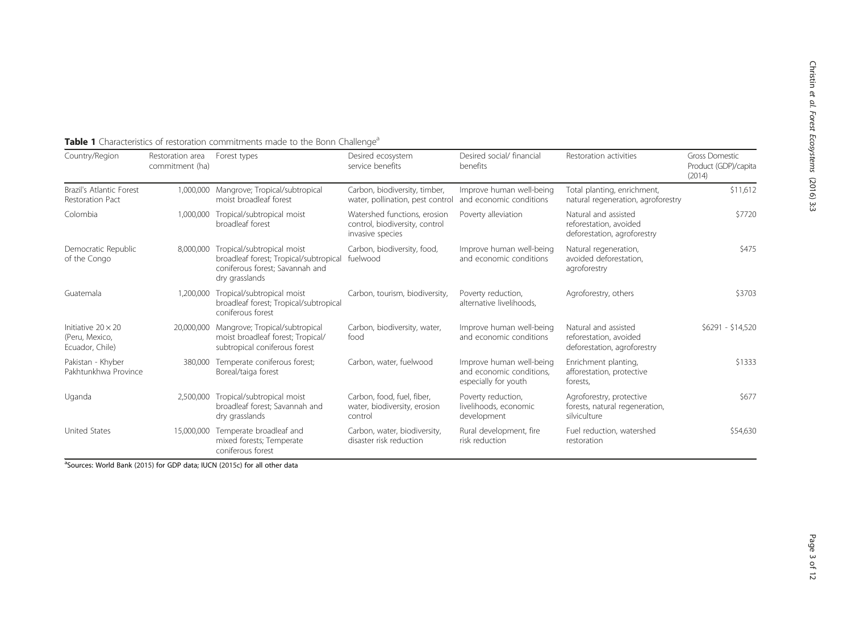| Country/Region                                                 | Restoration area<br>commitment (ha) | Forest types                                                                                                              | Desired ecosystem<br>service benefits                                              | Desired social/ financial<br>benefits                                        | Restoration activities                                                        | <b>Gross Domestic</b><br>Product (GDP)/capita<br>(2014) |
|----------------------------------------------------------------|-------------------------------------|---------------------------------------------------------------------------------------------------------------------------|------------------------------------------------------------------------------------|------------------------------------------------------------------------------|-------------------------------------------------------------------------------|---------------------------------------------------------|
| Brazil's Atlantic Forest<br><b>Restoration Pact</b>            | 1,000,000                           | Mangrove; Tropical/subtropical<br>moist broadleaf forest                                                                  | Carbon, biodiversity, timber,<br>water, pollination, pest control                  | Improve human well-being<br>and economic conditions                          | Total planting, enrichment,<br>natural regeneration, agroforestry             | \$11,612                                                |
| Colombia                                                       | 1,000,000                           | Tropical/subtropical moist<br>broadleaf forest                                                                            | Watershed functions, erosion<br>control, biodiversity, control<br>invasive species | Poverty alleviation                                                          | Natural and assisted<br>reforestation, avoided<br>deforestation, agroforestry | \$7720                                                  |
| Democratic Republic<br>of the Congo                            | 8,000,000                           | Tropical/subtropical moist<br>broadleaf forest; Tropical/subtropical<br>coniferous forest; Savannah and<br>dry grasslands | Carbon, biodiversity, food,<br>fuelwood                                            | Improve human well-being<br>and economic conditions                          | Natural regeneration,<br>avoided deforestation.<br>agroforestry               | \$475                                                   |
| Guatemala                                                      | 1,200,000                           | Tropical/subtropical moist<br>broadleaf forest; Tropical/subtropical<br>coniferous forest                                 | Carbon, tourism, biodiversity,                                                     | Poverty reduction,<br>alternative livelihoods,                               | Agroforestry, others                                                          | \$3703                                                  |
| Initiative $20 \times 20$<br>(Peru, Mexico,<br>Ecuador, Chile) | 20,000,000                          | Mangrove; Tropical/subtropical<br>moist broadleaf forest; Tropical/<br>subtropical coniferous forest                      | Carbon, biodiversity, water,<br>food                                               | Improve human well-being<br>and economic conditions                          | Natural and assisted<br>reforestation, avoided<br>deforestation, agroforestry | $$6291 - $14,520$                                       |
| Pakistan - Khyber<br>Pakhtunkhwa Province                      | 380,000                             | Temperate coniferous forest;<br>Boreal/taiga forest                                                                       | Carbon, water, fuelwood                                                            | Improve human well-being<br>and economic conditions.<br>especially for youth | Enrichment planting,<br>afforestation, protective<br>forests.                 | \$1333                                                  |
| Uganda                                                         | 2,500,000                           | Tropical/subtropical moist<br>broadleaf forest; Savannah and<br>dry grasslands                                            | Carbon, food, fuel, fiber,<br>water, biodiversity, erosion<br>control              | Poverty reduction,<br>livelihoods, economic<br>development                   | Agroforestry, protective<br>forests, natural regeneration,<br>silviculture    | \$677                                                   |
| <b>United States</b>                                           | 15,000,000                          | Temperate broadleaf and<br>mixed forests; Temperate<br>coniferous forest                                                  | Carbon, water, biodiversity,<br>disaster risk reduction                            | Rural development, fire<br>risk reduction                                    | Fuel reduction, watershed<br>restoration                                      | \$54,630                                                |

# <span id="page-2-0"></span>Table 1 Characteristics of restoration commitments made to the Bonn Challenge<sup>a</sup>

<sup>a</sup>Sources: World Bank ([2015](#page-11-0)) for GDP data; IUCN ([2015c\)](#page-10-0) for all other data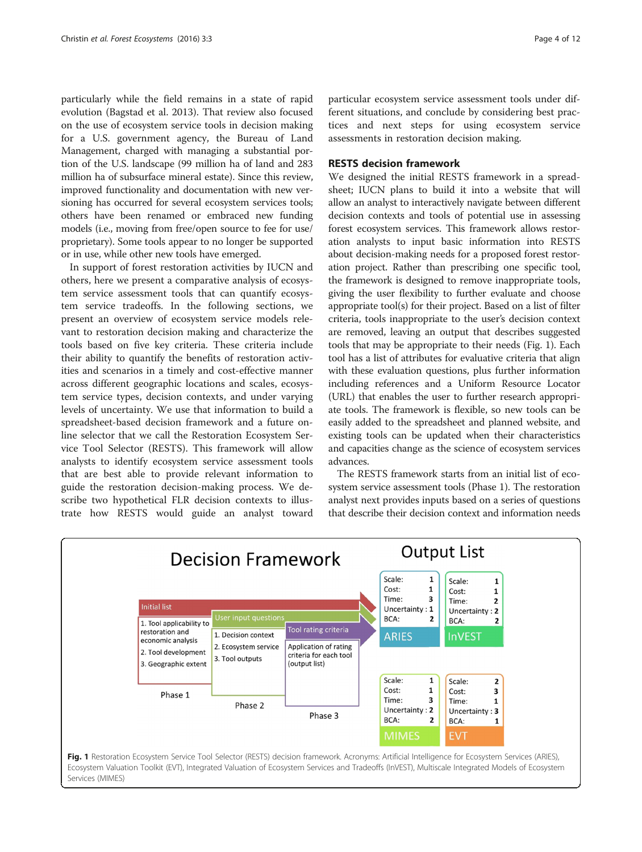<span id="page-3-0"></span>particularly while the field remains in a state of rapid evolution (Bagstad et al. [2013](#page-10-0)). That review also focused on the use of ecosystem service tools in decision making for a U.S. government agency, the Bureau of Land Management, charged with managing a substantial portion of the U.S. landscape (99 million ha of land and 283 million ha of subsurface mineral estate). Since this review, improved functionality and documentation with new versioning has occurred for several ecosystem services tools; others have been renamed or embraced new funding models (i.e., moving from free/open source to fee for use/ proprietary). Some tools appear to no longer be supported or in use, while other new tools have emerged.

In support of forest restoration activities by IUCN and others, here we present a comparative analysis of ecosystem service assessment tools that can quantify ecosystem service tradeoffs. In the following sections, we present an overview of ecosystem service models relevant to restoration decision making and characterize the tools based on five key criteria. These criteria include their ability to quantify the benefits of restoration activities and scenarios in a timely and cost-effective manner across different geographic locations and scales, ecosystem service types, decision contexts, and under varying levels of uncertainty. We use that information to build a spreadsheet-based decision framework and a future online selector that we call the Restoration Ecosystem Service Tool Selector (RESTS). This framework will allow analysts to identify ecosystem service assessment tools that are best able to provide relevant information to guide the restoration decision-making process. We describe two hypothetical FLR decision contexts to illustrate how RESTS would guide an analyst toward particular ecosystem service assessment tools under different situations, and conclude by considering best practices and next steps for using ecosystem service assessments in restoration decision making.

### RESTS decision framework

We designed the initial RESTS framework in a spreadsheet; IUCN plans to build it into a website that will allow an analyst to interactively navigate between different decision contexts and tools of potential use in assessing forest ecosystem services. This framework allows restoration analysts to input basic information into RESTS about decision-making needs for a proposed forest restoration project. Rather than prescribing one specific tool, the framework is designed to remove inappropriate tools, giving the user flexibility to further evaluate and choose appropriate tool(s) for their project. Based on a list of filter criteria, tools inappropriate to the user's decision context are removed, leaving an output that describes suggested tools that may be appropriate to their needs (Fig. 1). Each tool has a list of attributes for evaluative criteria that align with these evaluation questions, plus further information including references and a Uniform Resource Locator (URL) that enables the user to further research appropriate tools. The framework is flexible, so new tools can be easily added to the spreadsheet and planned website, and existing tools can be updated when their characteristics and capacities change as the science of ecosystem services advances.

The RESTS framework starts from an initial list of ecosystem service assessment tools (Phase 1). The restoration analyst next provides inputs based on a series of questions that describe their decision context and information needs

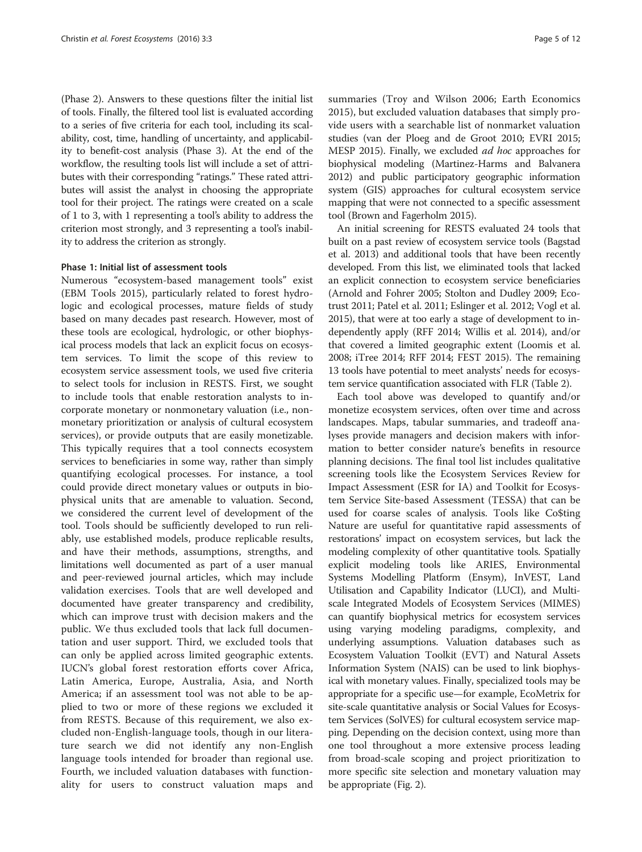(Phase 2). Answers to these questions filter the initial list of tools. Finally, the filtered tool list is evaluated according to a series of five criteria for each tool, including its scalability, cost, time, handling of uncertainty, and applicability to benefit-cost analysis (Phase 3). At the end of the workflow, the resulting tools list will include a set of attributes with their corresponding "ratings." These rated attributes will assist the analyst in choosing the appropriate tool for their project. The ratings were created on a scale of 1 to 3, with 1 representing a tool's ability to address the criterion most strongly, and 3 representing a tool's inability to address the criterion as strongly.

#### Phase 1: Initial list of assessment tools

Numerous "ecosystem-based management tools" exist (EBM Tools [2015](#page-10-0)), particularly related to forest hydrologic and ecological processes, mature fields of study based on many decades past research. However, most of these tools are ecological, hydrologic, or other biophysical process models that lack an explicit focus on ecosystem services. To limit the scope of this review to ecosystem service assessment tools, we used five criteria to select tools for inclusion in RESTS. First, we sought to include tools that enable restoration analysts to incorporate monetary or nonmonetary valuation (i.e., nonmonetary prioritization or analysis of cultural ecosystem services), or provide outputs that are easily monetizable. This typically requires that a tool connects ecosystem services to beneficiaries in some way, rather than simply quantifying ecological processes. For instance, a tool could provide direct monetary values or outputs in biophysical units that are amenable to valuation. Second, we considered the current level of development of the tool. Tools should be sufficiently developed to run reliably, use established models, produce replicable results, and have their methods, assumptions, strengths, and limitations well documented as part of a user manual and peer-reviewed journal articles, which may include validation exercises. Tools that are well developed and documented have greater transparency and credibility, which can improve trust with decision makers and the public. We thus excluded tools that lack full documentation and user support. Third, we excluded tools that can only be applied across limited geographic extents. IUCN's global forest restoration efforts cover Africa, Latin America, Europe, Australia, Asia, and North America; if an assessment tool was not able to be applied to two or more of these regions we excluded it from RESTS. Because of this requirement, we also excluded non-English-language tools, though in our literature search we did not identify any non-English language tools intended for broader than regional use. Fourth, we included valuation databases with functionality for users to construct valuation maps and summaries (Troy and Wilson [2006](#page-11-0); Earth Economics [2015\)](#page-10-0), but excluded valuation databases that simply provide users with a searchable list of nonmarket valuation studies (van der Ploeg and de Groot [2010](#page-11-0); EVRI [2015](#page-10-0); MESP [2015\)](#page-11-0). Finally, we excluded ad hoc approaches for biophysical modeling (Martinez-Harms and Balvanera 2012) and public participatory geographic information system (GIS) approaches for cultural ecosystem service mapping that were not connected to a specific assessment tool (Brown and Fagerholm [2015\)](#page-10-0).

An initial screening for RESTS evaluated 24 tools that built on a past review of ecosystem service tools (Bagstad et al. [2013](#page-10-0)) and additional tools that have been recently developed. From this list, we eliminated tools that lacked an explicit connection to ecosystem service beneficiaries (Arnold and Fohrer [2005](#page-10-0); Stolton and Dudley [2009;](#page-11-0) Ecotrust [2011](#page-10-0); Patel et al. [2011](#page-11-0); Eslinger et al. [2012](#page-10-0); Vogl et al. [2015\)](#page-11-0), that were at too early a stage of development to independently apply (RFF [2014](#page-11-0); Willis et al. [2014](#page-11-0)), and/or that covered a limited geographic extent (Loomis et al. [2008;](#page-11-0) iTree [2014;](#page-10-0) RFF [2014;](#page-11-0) FEST [2015](#page-10-0)). The remaining 13 tools have potential to meet analysts' needs for ecosystem service quantification associated with FLR (Table [2](#page-5-0)).

Each tool above was developed to quantify and/or monetize ecosystem services, often over time and across landscapes. Maps, tabular summaries, and tradeoff analyses provide managers and decision makers with information to better consider nature's benefits in resource planning decisions. The final tool list includes qualitative screening tools like the Ecosystem Services Review for Impact Assessment (ESR for IA) and Toolkit for Ecosystem Service Site-based Assessment (TESSA) that can be used for coarse scales of analysis. Tools like Co\$ting Nature are useful for quantitative rapid assessments of restorations' impact on ecosystem services, but lack the modeling complexity of other quantitative tools. Spatially explicit modeling tools like ARIES, Environmental Systems Modelling Platform (Ensym), InVEST, Land Utilisation and Capability Indicator (LUCI), and Multiscale Integrated Models of Ecosystem Services (MIMES) can quantify biophysical metrics for ecosystem services using varying modeling paradigms, complexity, and underlying assumptions. Valuation databases such as Ecosystem Valuation Toolkit (EVT) and Natural Assets Information System (NAIS) can be used to link biophysical with monetary values. Finally, specialized tools may be appropriate for a specific use—for example, EcoMetrix for site-scale quantitative analysis or Social Values for Ecosystem Services (SolVES) for cultural ecosystem service mapping. Depending on the decision context, using more than one tool throughout a more extensive process leading from broad-scale scoping and project prioritization to more specific site selection and monetary valuation may be appropriate (Fig. [2](#page-6-0)).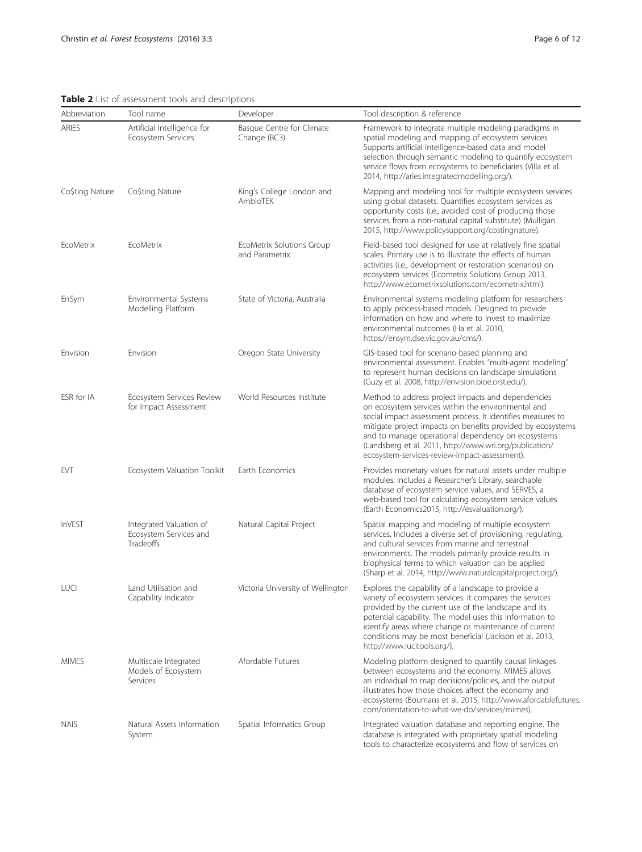<span id="page-5-0"></span>Table 2 List of assessment tools and descriptions

| Abbreviation     | Tool name                                                      | Developer                                          | Tool description & reference                                                                                                                                                                                                                                                                                                                                                                             |
|------------------|----------------------------------------------------------------|----------------------------------------------------|----------------------------------------------------------------------------------------------------------------------------------------------------------------------------------------------------------------------------------------------------------------------------------------------------------------------------------------------------------------------------------------------------------|
| <b>ARIES</b>     | Artificial Intelligence for<br>Ecosystem Services              | Basque Centre for Climate<br>Change (BC3)          | Framework to integrate multiple modeling paradigms in<br>spatial modeling and mapping of ecosystem services.<br>Supports artificial intelligence-based data and model<br>selection through semantic modeling to quantify ecosystem<br>service flows from ecosystems to beneficiaries (Villa et al.<br>2014, http://aries.integratedmodelling.org/).                                                      |
| Co\$ting Nature  | Co\$ting Nature                                                | King's College London and<br>AmbioTEK              | Mapping and modeling tool for multiple ecosystem services<br>using global datasets. Quantifies ecosystem services as<br>opportunity costs (i.e., avoided cost of producing those<br>services from a non-natural capital substitute) (Mulligan<br>2015, http://www.policysupport.org/costingnature).                                                                                                      |
| <b>EcoMetrix</b> | <b>EcoMetrix</b>                                               | <b>EcoMetrix Solutions Group</b><br>and Parametrix | Field-based tool designed for use at relatively fine spatial<br>scales. Primary use is to illustrate the effects of human<br>activities (i.e., development or restoration scenarios) on<br>ecosystem services (Ecometrix Solutions Group 2013,<br>http://www.ecometrixsolutions.com/ecometrix.html).                                                                                                     |
| EnSym            | Environmental Systems<br>Modelling Platform                    | State of Victoria, Australia                       | Environmental systems modeling platform for researchers<br>to apply process-based models. Designed to provide<br>information on how and where to invest to maximize<br>environmental outcomes (Ha et al. 2010,<br>https://ensym.dse.vic.gov.au/cms/).                                                                                                                                                    |
| Envision         | Envision                                                       | Oregon State University                            | GIS-based tool for scenario-based planning and<br>environmental assessment. Enables "multi-agent modeling"<br>to represent human decisions on landscape simulations<br>(Guzy et al. 2008, http://envision.bioe.orst.edu/).                                                                                                                                                                               |
| ESR for IA       | Ecosystem Services Review<br>for Impact Assessment             | World Resources Institute                          | Method to address project impacts and dependencies<br>on ecosystem services within the environmental and<br>social impact assessment process. It identifies measures to<br>mitigate project impacts on benefits provided by ecosystems<br>and to manage operational dependency on ecosystems<br>(Landsberg et al. 2011, http://www.wri.org/publication/<br>ecosystem-services-review-impact-assessment). |
| EVT              | Ecosystem Valuation Toolkit                                    | Earth Economics                                    | Provides monetary values for natural assets under multiple<br>modules. Includes a Researcher's Library, searchable<br>database of ecosystem service values, and SERVES, a<br>web-based tool for calculating ecosystem service values<br>(Earth Economics2015, http://esvaluation.org/).                                                                                                                  |
| InVEST           | Integrated Valuation of<br>Ecosystem Services and<br>Tradeoffs | Natural Capital Project                            | Spatial mapping and modeling of multiple ecosystem<br>services. Includes a diverse set of provisioning, regulating,<br>and cultural services from marine and terrestrial<br>environments. The models primarily provide results in<br>biophysical terms to which valuation can be applied<br>(Sharp et al. 2014, http://www.naturalcapitalproject.org/).                                                  |
| <b>LUCI</b>      | Land Utilisation and<br>Capability Indicator                   | Victoria University of Wellington                  | Explores the capability of a landscape to provide a<br>variety of ecosystem services. It compares the services<br>provided by the current use of the landscape and its<br>potential capability. The model uses this information to<br>identify areas where change or maintenance of current<br>conditions may be most beneficial (Jackson et al. 2013,<br>http://www.lucitools.org/).                    |
| <b>MIMES</b>     | Multiscale Integrated<br>Models of Ecosystem<br>Services       | Afordable Futures                                  | Modeling platform designed to quantify causal linkages<br>between ecosystems and the economy. MIMES allows<br>an individual to map decisions/policies, and the output<br>illustrates how those choices affect the economy and<br>ecosystems (Boumans et al. 2015, http://www.afordablefutures.<br>com/orientation-to-what-we-do/services/mimes).                                                         |
| <b>NAIS</b>      | Natural Assets Information<br>System                           | Spatial Informatics Group                          | Integrated valuation database and reporting engine. The<br>database is integrated with proprietary spatial modeling<br>tools to characterize ecosystems and flow of services on                                                                                                                                                                                                                          |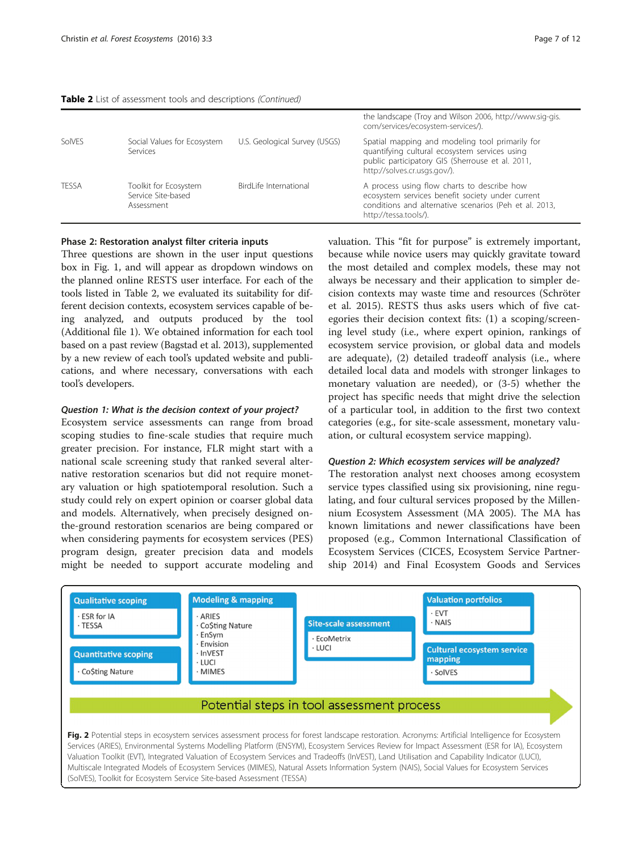<span id="page-6-0"></span>

|  | Table 2 List of assessment tools and descriptions (Continued) |  |  |
|--|---------------------------------------------------------------|--|--|
|  |                                                               |  |  |

|              |                                                           |                               | the landscape (Troy and Wilson 2006, http://www.sig-gis.<br>com/services/ecosystem-services/).                                                                                       |
|--------------|-----------------------------------------------------------|-------------------------------|--------------------------------------------------------------------------------------------------------------------------------------------------------------------------------------|
| SolVES       | Social Values for Ecosystem<br>Services                   | U.S. Geological Survey (USGS) | Spatial mapping and modeling tool primarily for<br>quantifying cultural ecosystem services using<br>public participatory GIS (Sherrouse et al. 2011,<br>http://solves.cr.usgs.gov/). |
| <b>TFSSA</b> | Toolkit for Ecosystem<br>Service Site-based<br>Assessment | BirdLife International        | A process using flow charts to describe how<br>ecosystem services benefit society under current<br>conditions and alternative scenarios (Peh et al. 2013,<br>http://tessa.tools/).   |

## Phase 2: Restoration analyst filter criteria inputs

Three questions are shown in the user input questions box in Fig. [1](#page-3-0), and will appear as dropdown windows on the planned online RESTS user interface. For each of the tools listed in Table [2](#page-5-0), we evaluated its suitability for different decision contexts, ecosystem services capable of being analyzed, and outputs produced by the tool (Additional file [1](#page-10-0)). We obtained information for each tool based on a past review (Bagstad et al. [2013\)](#page-10-0), supplemented by a new review of each tool's updated website and publications, and where necessary, conversations with each tool's developers.

#### Question 1: What is the decision context of your project?

Ecosystem service assessments can range from broad scoping studies to fine-scale studies that require much greater precision. For instance, FLR might start with a national scale screening study that ranked several alternative restoration scenarios but did not require monetary valuation or high spatiotemporal resolution. Such a study could rely on expert opinion or coarser global data and models. Alternatively, when precisely designed onthe-ground restoration scenarios are being compared or when considering payments for ecosystem services (PES) program design, greater precision data and models might be needed to support accurate modeling and valuation. This "fit for purpose" is extremely important, because while novice users may quickly gravitate toward the most detailed and complex models, these may not always be necessary and their application to simpler decision contexts may waste time and resources (Schröter et al. [2015](#page-11-0)). RESTS thus asks users which of five categories their decision context fits: (1) a scoping/screening level study (i.e., where expert opinion, rankings of ecosystem service provision, or global data and models are adequate), (2) detailed tradeoff analysis (i.e., where detailed local data and models with stronger linkages to monetary valuation are needed), or (3-5) whether the project has specific needs that might drive the selection of a particular tool, in addition to the first two context categories (e.g., for site-scale assessment, monetary valuation, or cultural ecosystem service mapping).

#### Question 2: Which ecosystem services will be analyzed?

The restoration analyst next chooses among ecosystem service types classified using six provisioning, nine regulating, and four cultural services proposed by the Millennium Ecosystem Assessment (MA [2005\)](#page-11-0). The MA has known limitations and newer classifications have been proposed (e.g., Common International Classification of Ecosystem Services (CICES, Ecosystem Service Partnership [2014](#page-10-0)) and Final Ecosystem Goods and Services



Multiscale Integrated Models of Ecosystem Services (MIMES), Natural Assets Information System (NAIS), Social Values for Ecosystem Services (SolVES), Toolkit for Ecosystem Service Site-based Assessment (TESSA)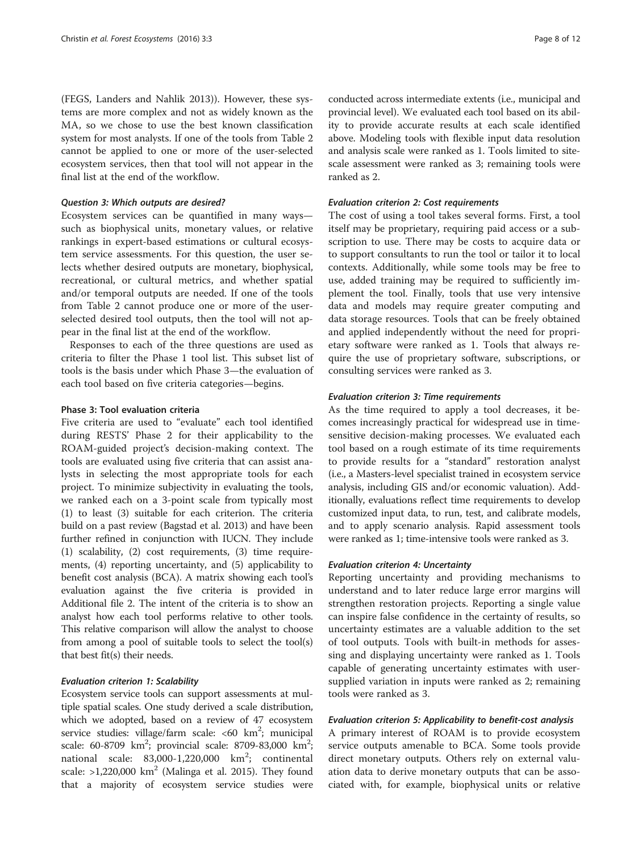(FEGS, Landers and Nahlik [2013](#page-10-0))). However, these systems are more complex and not as widely known as the MA, so we chose to use the best known classification system for most analysts. If one of the tools from Table [2](#page-5-0) cannot be applied to one or more of the user-selected ecosystem services, then that tool will not appear in the final list at the end of the workflow.

#### Question 3: Which outputs are desired?

Ecosystem services can be quantified in many ways such as biophysical units, monetary values, or relative rankings in expert-based estimations or cultural ecosystem service assessments. For this question, the user selects whether desired outputs are monetary, biophysical, recreational, or cultural metrics, and whether spatial and/or temporal outputs are needed. If one of the tools from Table [2](#page-5-0) cannot produce one or more of the userselected desired tool outputs, then the tool will not appear in the final list at the end of the workflow.

Responses to each of the three questions are used as criteria to filter the Phase 1 tool list. This subset list of tools is the basis under which Phase 3—the evaluation of each tool based on five criteria categories—begins.

#### Phase 3: Tool evaluation criteria

Five criteria are used to "evaluate" each tool identified during RESTS' Phase 2 for their applicability to the ROAM-guided project's decision-making context. The tools are evaluated using five criteria that can assist analysts in selecting the most appropriate tools for each project. To minimize subjectivity in evaluating the tools, we ranked each on a 3-point scale from typically most (1) to least (3) suitable for each criterion. The criteria build on a past review (Bagstad et al. [2013\)](#page-10-0) and have been further refined in conjunction with IUCN. They include (1) scalability, (2) cost requirements, (3) time requirements, (4) reporting uncertainty, and (5) applicability to benefit cost analysis (BCA). A matrix showing each tool's evaluation against the five criteria is provided in Additional file [2](#page-10-0). The intent of the criteria is to show an analyst how each tool performs relative to other tools. This relative comparison will allow the analyst to choose from among a pool of suitable tools to select the tool(s) that best fit(s) their needs.

# Evaluation criterion 1: Scalability

Ecosystem service tools can support assessments at multiple spatial scales. One study derived a scale distribution, which we adopted, based on a review of 47 ecosystem service studies: village/farm scale: <60 km<sup>2</sup>; municipal scale: 60-8709 km<sup>2</sup>; provincial scale: 8709-83,000 km<sup>2</sup>; national scale:  $83,000$ -1,220,000  $\text{km}^2$ ; continental scale:  $>1,220,000$  km<sup>2</sup> (Malinga et al. [2015\)](#page-11-0). They found that a majority of ecosystem service studies were

conducted across intermediate extents (i.e., municipal and provincial level). We evaluated each tool based on its ability to provide accurate results at each scale identified above. Modeling tools with flexible input data resolution and analysis scale were ranked as 1. Tools limited to sitescale assessment were ranked as 3; remaining tools were ranked as 2.

#### Evaluation criterion 2: Cost requirements

The cost of using a tool takes several forms. First, a tool itself may be proprietary, requiring paid access or a subscription to use. There may be costs to acquire data or to support consultants to run the tool or tailor it to local contexts. Additionally, while some tools may be free to use, added training may be required to sufficiently implement the tool. Finally, tools that use very intensive data and models may require greater computing and data storage resources. Tools that can be freely obtained and applied independently without the need for proprietary software were ranked as 1. Tools that always require the use of proprietary software, subscriptions, or consulting services were ranked as 3.

#### Evaluation criterion 3: Time requirements

As the time required to apply a tool decreases, it becomes increasingly practical for widespread use in timesensitive decision-making processes. We evaluated each tool based on a rough estimate of its time requirements to provide results for a "standard" restoration analyst (i.e., a Masters-level specialist trained in ecosystem service analysis, including GIS and/or economic valuation). Additionally, evaluations reflect time requirements to develop customized input data, to run, test, and calibrate models, and to apply scenario analysis. Rapid assessment tools were ranked as 1; time-intensive tools were ranked as 3.

#### Evaluation criterion 4: Uncertainty

Reporting uncertainty and providing mechanisms to understand and to later reduce large error margins will strengthen restoration projects. Reporting a single value can inspire false confidence in the certainty of results, so uncertainty estimates are a valuable addition to the set of tool outputs. Tools with built-in methods for assessing and displaying uncertainty were ranked as 1. Tools capable of generating uncertainty estimates with usersupplied variation in inputs were ranked as 2; remaining tools were ranked as 3.

#### Evaluation criterion 5: Applicability to benefit-cost analysis

A primary interest of ROAM is to provide ecosystem service outputs amenable to BCA. Some tools provide direct monetary outputs. Others rely on external valuation data to derive monetary outputs that can be associated with, for example, biophysical units or relative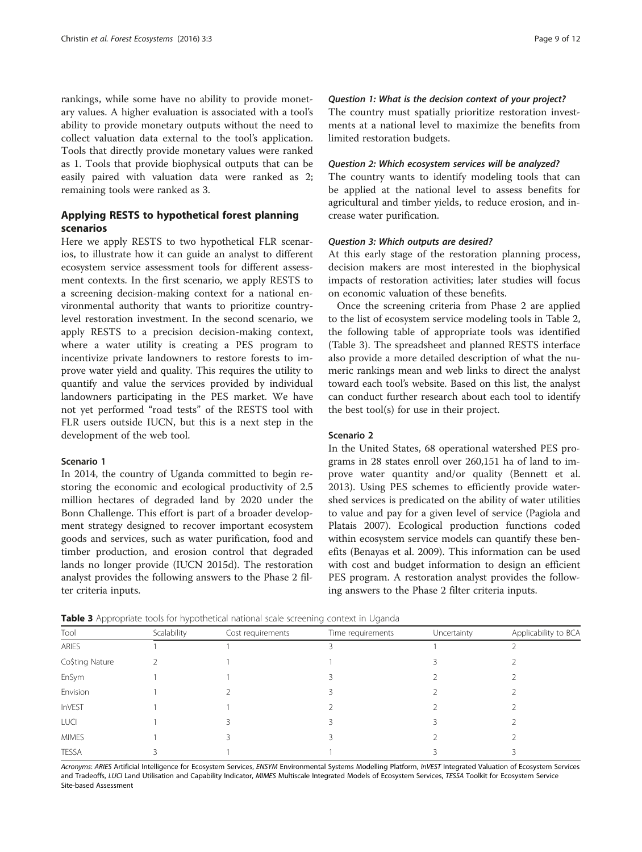rankings, while some have no ability to provide monetary values. A higher evaluation is associated with a tool's ability to provide monetary outputs without the need to collect valuation data external to the tool's application. Tools that directly provide monetary values were ranked as 1. Tools that provide biophysical outputs that can be easily paired with valuation data were ranked as 2; remaining tools were ranked as 3.

# Applying RESTS to hypothetical forest planning scenarios

Here we apply RESTS to two hypothetical FLR scenarios, to illustrate how it can guide an analyst to different ecosystem service assessment tools for different assessment contexts. In the first scenario, we apply RESTS to a screening decision-making context for a national environmental authority that wants to prioritize countrylevel restoration investment. In the second scenario, we apply RESTS to a precision decision-making context, where a water utility is creating a PES program to incentivize private landowners to restore forests to improve water yield and quality. This requires the utility to quantify and value the services provided by individual landowners participating in the PES market. We have not yet performed "road tests" of the RESTS tool with FLR users outside IUCN, but this is a next step in the development of the web tool.

#### Scenario 1

In 2014, the country of Uganda committed to begin restoring the economic and ecological productivity of 2.5 million hectares of degraded land by 2020 under the Bonn Challenge. This effort is part of a broader development strategy designed to recover important ecosystem goods and services, such as water purification, food and timber production, and erosion control that degraded lands no longer provide (IUCN [2015d\)](#page-10-0). The restoration analyst provides the following answers to the Phase 2 filter criteria inputs.

## Question 1: What is the decision context of your project?

The country must spatially prioritize restoration investments at a national level to maximize the benefits from limited restoration budgets.

#### Question 2: Which ecosystem services will be analyzed?

The country wants to identify modeling tools that can be applied at the national level to assess benefits for agricultural and timber yields, to reduce erosion, and increase water purification.

#### Question 3: Which outputs are desired?

At this early stage of the restoration planning process, decision makers are most interested in the biophysical impacts of restoration activities; later studies will focus on economic valuation of these benefits.

Once the screening criteria from Phase 2 are applied to the list of ecosystem service modeling tools in Table [2](#page-5-0), the following table of appropriate tools was identified (Table 3). The spreadsheet and planned RESTS interface also provide a more detailed description of what the numeric rankings mean and web links to direct the analyst toward each tool's website. Based on this list, the analyst can conduct further research about each tool to identify the best tool(s) for use in their project.

#### Scenario 2

In the United States, 68 operational watershed PES programs in 28 states enroll over 260,151 ha of land to improve water quantity and/or quality (Bennett et al. [2013](#page-10-0)). Using PES schemes to efficiently provide watershed services is predicated on the ability of water utilities to value and pay for a given level of service (Pagiola and Platais 2007). Ecological production functions coded within ecosystem service models can quantify these benefits (Benayas et al. [2009](#page-10-0)). This information can be used with cost and budget information to design an efficient PES program. A restoration analyst provides the following answers to the Phase 2 filter criteria inputs.

**Table 3** Appropriate tools for hypothetical national scale screening context in Uganda

| Tool            | Scalability | Cost requirements | Time requirements | Uncertainty | Applicability to BCA |
|-----------------|-------------|-------------------|-------------------|-------------|----------------------|
| ARIES           |             |                   |                   |             |                      |
| Co\$ting Nature |             |                   |                   |             |                      |
| EnSym           |             |                   |                   |             |                      |
| Envision        |             |                   |                   |             |                      |
| InVEST          |             |                   |                   |             |                      |
| LUCI            |             |                   |                   |             |                      |
| <b>MIMES</b>    |             |                   |                   |             |                      |
| <b>TESSA</b>    |             |                   |                   |             |                      |

Acronyms: ARIES Artificial Intelligence for Ecosystem Services, ENSYM Environmental Systems Modelling Platform, InVEST Integrated Valuation of Ecosystem Services and Tradeoffs, LUCI Land Utilisation and Capability Indicator, MIMES Multiscale Integrated Models of Ecosystem Services, TESSA Toolkit for Ecosystem Service Site-based Assessment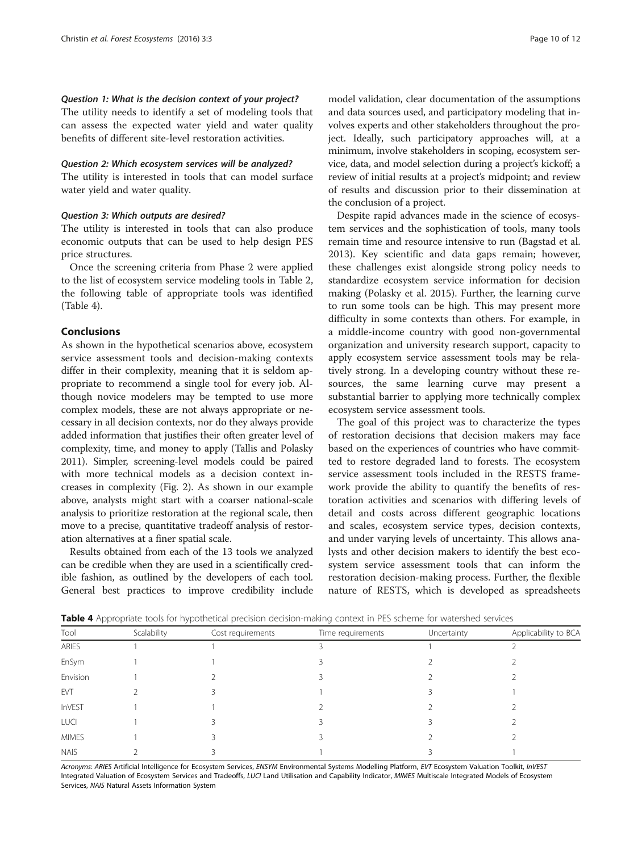## Question 1: What is the decision context of your project?

The utility needs to identify a set of modeling tools that can assess the expected water yield and water quality benefits of different site-level restoration activities.

#### Question 2: Which ecosystem services will be analyzed?

The utility is interested in tools that can model surface water yield and water quality.

### Question 3: Which outputs are desired?

The utility is interested in tools that can also produce economic outputs that can be used to help design PES price structures.

Once the screening criteria from Phase 2 were applied to the list of ecosystem service modeling tools in Table [2](#page-5-0), the following table of appropriate tools was identified (Table 4).

#### Conclusions

As shown in the hypothetical scenarios above, ecosystem service assessment tools and decision-making contexts differ in their complexity, meaning that it is seldom appropriate to recommend a single tool for every job. Although novice modelers may be tempted to use more complex models, these are not always appropriate or necessary in all decision contexts, nor do they always provide added information that justifies their often greater level of complexity, time, and money to apply (Tallis and Polasky [2011\)](#page-11-0). Simpler, screening-level models could be paired with more technical models as a decision context increases in complexity (Fig. [2](#page-6-0)). As shown in our example above, analysts might start with a coarser national-scale analysis to prioritize restoration at the regional scale, then move to a precise, quantitative tradeoff analysis of restoration alternatives at a finer spatial scale.

Results obtained from each of the 13 tools we analyzed can be credible when they are used in a scientifically credible fashion, as outlined by the developers of each tool. General best practices to improve credibility include

model validation, clear documentation of the assumptions and data sources used, and participatory modeling that involves experts and other stakeholders throughout the project. Ideally, such participatory approaches will, at a minimum, involve stakeholders in scoping, ecosystem service, data, and model selection during a project's kickoff; a review of initial results at a project's midpoint; and review of results and discussion prior to their dissemination at the conclusion of a project.

Despite rapid advances made in the science of ecosystem services and the sophistication of tools, many tools remain time and resource intensive to run (Bagstad et al. [2013](#page-10-0)). Key scientific and data gaps remain; however, these challenges exist alongside strong policy needs to standardize ecosystem service information for decision making (Polasky et al. [2015\)](#page-11-0). Further, the learning curve to run some tools can be high. This may present more difficulty in some contexts than others. For example, in a middle-income country with good non-governmental organization and university research support, capacity to apply ecosystem service assessment tools may be relatively strong. In a developing country without these resources, the same learning curve may present a substantial barrier to applying more technically complex ecosystem service assessment tools.

The goal of this project was to characterize the types of restoration decisions that decision makers may face based on the experiences of countries who have committed to restore degraded land to forests. The ecosystem service assessment tools included in the RESTS framework provide the ability to quantify the benefits of restoration activities and scenarios with differing levels of detail and costs across different geographic locations and scales, ecosystem service types, decision contexts, and under varying levels of uncertainty. This allows analysts and other decision makers to identify the best ecosystem service assessment tools that can inform the restoration decision-making process. Further, the flexible nature of RESTS, which is developed as spreadsheets

| .<br>$\sim$<br>$\tilde{}$ |             |                   |                   |             |                      |
|---------------------------|-------------|-------------------|-------------------|-------------|----------------------|
| Tool                      | Scalability | Cost requirements | Time requirements | Uncertainty | Applicability to BCA |
| ARIES                     |             |                   |                   |             |                      |
| EnSym                     |             |                   |                   |             |                      |
| Envision                  |             |                   |                   |             |                      |
| <b>EVT</b>                |             |                   |                   |             |                      |
| InVEST                    |             |                   |                   |             |                      |
| LUCI                      |             |                   |                   |             |                      |
| <b>MIMES</b>              |             |                   |                   |             |                      |
| <b>NAIS</b>               |             |                   |                   |             |                      |

Table 4 Appropriate tools for hypothetical precision decision-making context in PES scheme for watershed services

Acronyms: ARIES Artificial Intelligence for Ecosystem Services, ENSYM Environmental Systems Modelling Platform, EVT Ecosystem Valuation Toolkit, InVEST Integrated Valuation of Ecosystem Services and Tradeoffs, LUCI Land Utilisation and Capability Indicator, MIMES Multiscale Integrated Models of Ecosystem Services, NAIS Natural Assets Information System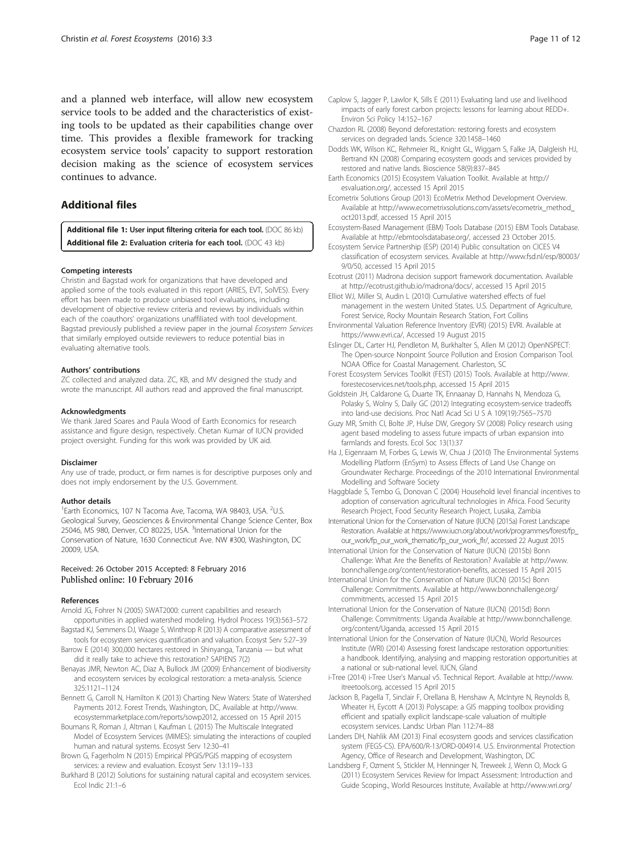<span id="page-10-0"></span>and a planned web interface, will allow new ecosystem service tools to be added and the characteristics of existing tools to be updated as their capabilities change over time. This provides a flexible framework for tracking ecosystem service tools' capacity to support restoration decision making as the science of ecosystem services continues to advance.

# Additional files

[Additional file 1:](dx.doi.org/10.1186/s40663-016-0062-y) User input filtering criteria for each tool. (DOC 86 kb) [Additional file 2:](dx.doi.org/10.1186/s40663-016-0062-y) Evaluation criteria for each tool. (DOC 43 kb)

#### Competing interests

Christin and Bagstad work for organizations that have developed and applied some of the tools evaluated in this report (ARIES, EVT, SolVES). Every effort has been made to produce unbiased tool evaluations, including development of objective review criteria and reviews by individuals within each of the coauthors' organizations unaffiliated with tool development. Bagstad previously published a review paper in the journal Ecosystem Services that similarly employed outside reviewers to reduce potential bias in evaluating alternative tools.

#### Authors' contributions

ZC collected and analyzed data. ZC, KB, and MV designed the study and wrote the manuscript. All authors read and approved the final manuscript.

#### Acknowledgments

We thank Jared Soares and Paula Wood of Earth Economics for research assistance and figure design, respectively. Chetan Kumar of IUCN provided project oversight. Funding for this work was provided by UK aid.

#### Disclaimer

Any use of trade, product, or firm names is for descriptive purposes only and does not imply endorsement by the U.S. Government.

#### Author details

<sup>1</sup>Earth Economics, 107 N Tacoma Ave, Tacoma, WA 98403, USA. <sup>2</sup>U.S. Geological Survey, Geosciences & Environmental Change Science Center, Box 25046, MS 980, Denver, CO 80225, USA. <sup>3</sup>International Union for the Conservation of Nature, 1630 Connecticut Ave. NW #300, Washington, DC 20009, USA.

#### Received: 26 October 2015 Accepted: 8 February 2016 Published online: 10 February 2016

#### References

- Arnold JG, Fohrer N (2005) SWAT2000: current capabilities and research opportunities in applied watershed modeling. Hydrol Process 19(3):563–572
- Bagstad KJ, Semmens DJ, Waage S, Winthrop R (2013) A comparative assessment of tools for ecosystem services quantification and valuation. Ecosyst Serv 5:27–39
- Barrow E (2014) 300,000 hectares restored in Shinyanga, Tanzania but what did it really take to achieve this restoration? SAPIENS 7(2)
- Benayas JMR, Newton AC, Diaz A, Bullock JM (2009) Enhancement of biodiversity and ecosystem services by ecological restoration: a meta-analysis. Science 325:1121–1124
- Bennett G, Carroll N, Hamilton K (2013) Charting New Waters: State of Watershed Payments 2012. Forest Trends, Washington, DC, Available at [http://www.](http://www.ecosystemmarketplace.com/reports/sowp2012) [ecosystemmarketplace.com/reports/sowp2012,](http://www.ecosystemmarketplace.com/reports/sowp2012) accessed on 15 April 2015
- Boumans R, Roman J, Altman I, Kaufman L (2015) The Multiscale Integrated Model of Ecosystem Services (MIMES): simulating the interactions of coupled human and natural systems. Ecosyst Serv 12:30–41
- Brown G, Fagerholm N (2015) Empirical PPGIS/PGIS mapping of ecosystem services: a review and evaluation. Ecosyst Serv 13:119–133
- Burkhard B (2012) Solutions for sustaining natural capital and ecosystem services. Ecol Indic 21:1–6
- Caplow S, Jagger P, Lawlor K, Sills E (2011) Evaluating land use and livelihood impacts of early forest carbon projects: lessons for learning about REDD+. Environ Sci Policy 14:152–167
- Chazdon RL (2008) Beyond deforestation: restoring forests and ecosystem services on degraded lands. Science 320:1458–1460
- Dodds WK, Wilson KC, Rehmeier RL, Knight GL, Wiggam S, Falke JA, Dalgleish HJ, Bertrand KN (2008) Comparing ecosystem goods and services provided by restored and native lands. Bioscience 58(9):837–845
- Earth Economics (2015) Ecosystem Valuation Toolkit. Available at [http://](http://esvaluation.org/) [esvaluation.org/](http://esvaluation.org/), accessed 15 April 2015
- Ecometrix Solutions Group (2013) EcoMetrix Method Development Overview. Available at [http://www.ecometrixsolutions.com/assets/ecometrix\\_method\\_](http://www.ecometrixsolutions.com/assets/ecometrix_method_oct2013.pdf) [oct2013.pdf](http://www.ecometrixsolutions.com/assets/ecometrix_method_oct2013.pdf), accessed 15 April 2015
- Ecosystem-Based Management (EBM) Tools Database (2015) EBM Tools Database. Available at<http://ebmtoolsdatabase.org/>, accessed 23 October 2015.
- Ecosystem Service Partnership (ESP) (2014) Public consultation on CICES V4 classification of ecosystem services. Available at [http://www.fsd.nl/esp/80003/](http://www.fsd.nl/esp/80003/9/0/50) [9/0/50](http://www.fsd.nl/esp/80003/9/0/50), accessed 15 April 2015
- Ecotrust (2011) Madrona decision support framework documentation. Available at<http://ecotrust.github.io/madrona/docs/>, accessed 15 April 2015
- Elliot WJ, Miller SI, Audin L (2010) Cumulative watershed effects of fuel management in the western United States. U.S. Department of Agriculture, Forest Service, Rocky Mountain Research Station, Fort Collins
- Environmental Valuation Reference Inventory (EVRI) (2015) EVRI. Available at [https://www.evri.ca/,](https://www.evri.ca/) Accessed 19 August 2015
- Eslinger DL, Carter HJ, Pendleton M, Burkhalter S, Allen M (2012) OpenNSPECT: The Open-source Nonpoint Source Pollution and Erosion Comparison Tool. NOAA Office for Coastal Management. Charleston, SC
- Forest Ecosystem Services Toolkit (FEST) (2015) Tools. Available at [http://www.](http://www.forestecoservices.net/tools.php) [forestecoservices.net/tools.php](http://www.forestecoservices.net/tools.php), accessed 15 April 2015
- Goldstein JH, Caldarone G, Duarte TK, Ennaanay D, Hannahs N, Mendoza G, Polasky S, Wolny S, Daily GC (2012) Integrating ecosystem-service tradeoffs into land-use decisions. Proc Natl Acad Sci U S A 109(19):7565–7570
- Guzy MR, Smith CI, Bolte JP, Hulse DW, Gregory SV (2008) Policy research using agent based modeling to assess future impacts of urban expansion into farmlands and forests. Ecol Soc 13(1):37
- Ha J, Eigenraam M, Forbes G, Lewis W, Chua J (2010) The Environmental Systems Modelling Platform (EnSym) to Assess Effects of Land Use Change on Groundwater Recharge. Proceedings of the 2010 International Environmental Modelling and Software Society
- Haggblade S, Tembo G, Donovan C (2004) Household level financial incentives to adoption of conservation agricultural technologies in Africa. Food Security Research Project, Food Security Research Project, Lusaka, Zambia
- International Union for the Conservation of Nature (IUCN) (2015a) Forest Landscape Restoration. Available at [https://www.iucn.org/about/work/programmes/forest/fp\\_](https://www.iucn.org/about/work/programmes/forest/fp_our_work/fp_our_work_thematic/fp_our_work_flr/) [our\\_work/fp\\_our\\_work\\_thematic/fp\\_our\\_work\\_flr/,](https://www.iucn.org/about/work/programmes/forest/fp_our_work/fp_our_work_thematic/fp_our_work_flr/) accessed 22 August 2015
- International Union for the Conservation of Nature (IUCN) (2015b) Bonn Challenge: What Are the Benefits of Restoration? Available at [http://www.](http://www.bonnchallenge.org/content/restoration-benefits) [bonnchallenge.org/content/restoration-benefits,](http://www.bonnchallenge.org/content/restoration-benefits) accessed 15 April 2015
- International Union for the Conservation of Nature (IUCN) (2015c) Bonn Challenge: Commitments. Available at [http://www.bonnchallenge.org/](http://www.bonnchallenge.org/commitments) [commitments,](http://www.bonnchallenge.org/commitments) accessed 15 April 2015
- International Union for the Conservation of Nature (IUCN) (2015d) Bonn Challenge: Commitments: Uganda Available at [http://www.bonnchallenge.](http://www.bonnchallenge.org/content/Uganda) [org/content/Uganda,](http://www.bonnchallenge.org/content/Uganda) accessed 15 April 2015
- International Union for the Conservation of Nature (IUCN), World Resources Institute (WRI) (2014) Assessing forest landscape restoration opportunities: a handbook. Identifying, analysing and mapping restoration opportunities at a national or sub-national level. IUCN, Gland
- i-Tree (2014) i-Tree User's Manual v5. Technical Report. Available at [http://www.](http://www.itreetools.org/) [itreetools.org,](http://www.itreetools.org/) accessed 15 April 2015
- Jackson B, Pagella T, Sinclair F, Orellana B, Henshaw A, McIntyre N, Reynolds B, Wheater H, Eycott A (2013) Polyscape: a GIS mapping toolbox providing efficient and spatially explicit landscape-scale valuation of multiple ecosystem services. Landsc Urban Plan 112:74–88
- Landers DH, Nahlik AM (2013) Final ecosystem goods and services classification system (FEGS-CS). EPA/600/R-13/ORD-004914. U.S. Environmental Protection Agency, Office of Research and Development, Washington, DC
- Landsberg F, Ozment S, Stickler M, Henninger N, Treweek J, Wenn O, Mock G (2011) Ecosystem Services Review for Impact Assessment: Introduction and Guide Scoping., World Resources Institute, Available at [http://www.wri.org/](http://www.wri.org/sites/default/files/ecosystem_services_review_for_impact_assessment_introduction_and_guide_to_scoping.pdf)